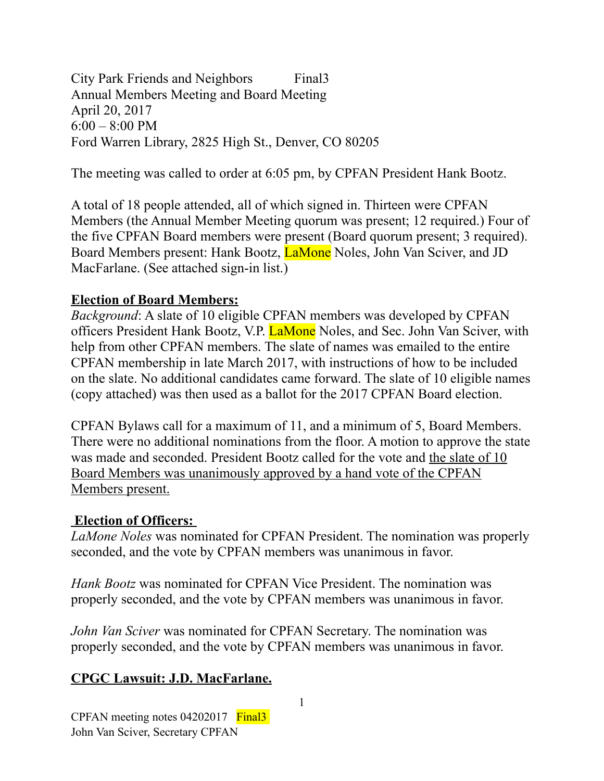City Park Friends and Neighbors Final3 Annual Members Meeting and Board Meeting April 20, 2017 6:00 – 8:00 PM Ford Warren Library, 2825 High St., Denver, CO 80205

The meeting was called to order at 6:05 pm, by CPFAN President Hank Bootz.

A total of 18 people attended, all of which signed in. Thirteen were CPFAN Members (the Annual Member Meeting quorum was present; 12 required.) Four of the five CPFAN Board members were present (Board quorum present; 3 required). Board Members present: Hank Bootz, LaMone Noles, John Van Sciver, and JD MacFarlane. (See attached sign-in list.)

#### **Election of Board Members:**

*Background*: A slate of 10 eligible CPFAN members was developed by CPFAN officers President Hank Bootz, V.P. LaMone Noles, and Sec. John Van Sciver, with help from other CPFAN members. The slate of names was emailed to the entire CPFAN membership in late March 2017, with instructions of how to be included on the slate. No additional candidates came forward. The slate of 10 eligible names (copy attached) was then used as a ballot for the 2017 CPFAN Board election.

CPFAN Bylaws call for a maximum of 11, and a minimum of 5, Board Members. There were no additional nominations from the floor. A motion to approve the state was made and seconded. President Bootz called for the vote and the slate of 10 Board Members was unanimously approved by a hand vote of the CPFAN Members present.

#### **Election of Officers:**

*LaMone Noles* was nominated for CPFAN President. The nomination was properly seconded, and the vote by CPFAN members was unanimous in favor.

*Hank Bootz* was nominated for CPFAN Vice President. The nomination was properly seconded, and the vote by CPFAN members was unanimous in favor.

*John Van Sciver* was nominated for CPFAN Secretary. The nomination was properly seconded, and the vote by CPFAN members was unanimous in favor.

# **CPGC Lawsuit: J.D. MacFarlane.**

CPFAN meeting notes 04202017 Final3 John Van Sciver, Secretary CPFAN